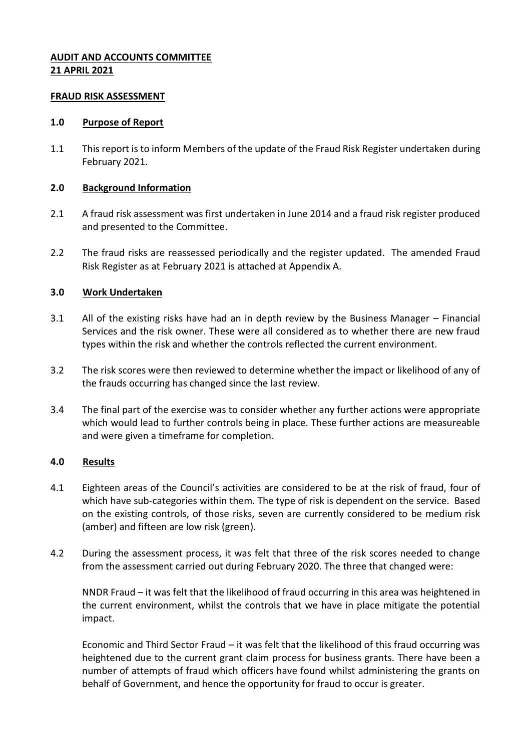### **AUDIT AND ACCOUNTS COMMITTEE 21 APRIL 2021**

#### **FRAUD RISK ASSESSMENT**

#### **1.0 Purpose of Report**

1.1 This report is to inform Members of the update of the Fraud Risk Register undertaken during February 2021.

#### **2.0 Background Information**

- 2.1 A fraud risk assessment was first undertaken in June 2014 and a fraud risk register produced and presented to the Committee.
- 2.2 The fraud risks are reassessed periodically and the register updated. The amended Fraud Risk Register as at February 2021 is attached at Appendix A.

#### **3.0 Work Undertaken**

- 3.1 All of the existing risks have had an in depth review by the Business Manager Financial Services and the risk owner. These were all considered as to whether there are new fraud types within the risk and whether the controls reflected the current environment.
- 3.2 The risk scores were then reviewed to determine whether the impact or likelihood of any of the frauds occurring has changed since the last review.
- 3.4 The final part of the exercise was to consider whether any further actions were appropriate which would lead to further controls being in place. These further actions are measureable and were given a timeframe for completion.

#### **4.0 Results**

- 4.1 Eighteen areas of the Council's activities are considered to be at the risk of fraud, four of which have sub-categories within them. The type of risk is dependent on the service. Based on the existing controls, of those risks, seven are currently considered to be medium risk (amber) and fifteen are low risk (green).
- 4.2 During the assessment process, it was felt that three of the risk scores needed to change from the assessment carried out during February 2020. The three that changed were:

NNDR Fraud – it was felt that the likelihood of fraud occurring in this area was heightened in the current environment, whilst the controls that we have in place mitigate the potential impact.

Economic and Third Sector Fraud – it was felt that the likelihood of this fraud occurring was heightened due to the current grant claim process for business grants. There have been a number of attempts of fraud which officers have found whilst administering the grants on behalf of Government, and hence the opportunity for fraud to occur is greater.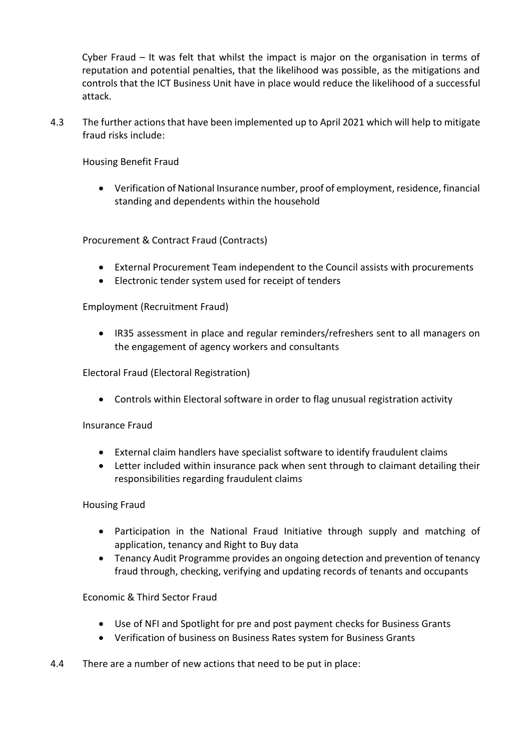Cyber Fraud – It was felt that whilst the impact is major on the organisation in terms of reputation and potential penalties, that the likelihood was possible, as the mitigations and controls that the ICT Business Unit have in place would reduce the likelihood of a successful attack.

4.3 The further actions that have been implemented up to April 2021 which will help to mitigate fraud risks include:

Housing Benefit Fraud

 Verification of National Insurance number, proof of employment, residence, financial standing and dependents within the household

Procurement & Contract Fraud (Contracts)

- External Procurement Team independent to the Council assists with procurements
- Electronic tender system used for receipt of tenders

Employment (Recruitment Fraud)

 IR35 assessment in place and regular reminders/refreshers sent to all managers on the engagement of agency workers and consultants

Electoral Fraud (Electoral Registration)

Controls within Electoral software in order to flag unusual registration activity

Insurance Fraud

- External claim handlers have specialist software to identify fraudulent claims
- Letter included within insurance pack when sent through to claimant detailing their responsibilities regarding fraudulent claims

Housing Fraud

- Participation in the National Fraud Initiative through supply and matching of application, tenancy and Right to Buy data
- Tenancy Audit Programme provides an ongoing detection and prevention of tenancy fraud through, checking, verifying and updating records of tenants and occupants

Economic & Third Sector Fraud

- Use of NFI and Spotlight for pre and post payment checks for Business Grants
- Verification of business on Business Rates system for Business Grants
- 4.4 There are a number of new actions that need to be put in place: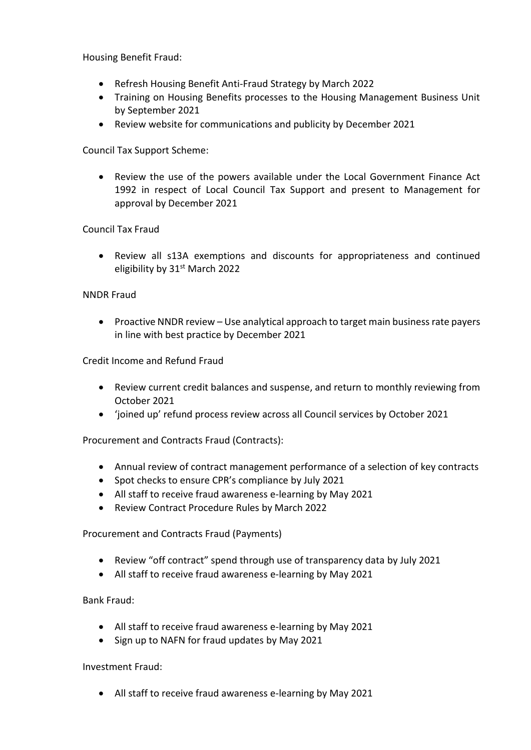Housing Benefit Fraud:

- Refresh Housing Benefit Anti-Fraud Strategy by March 2022
- Training on Housing Benefits processes to the Housing Management Business Unit by September 2021
- Review website for communications and publicity by December 2021

Council Tax Support Scheme:

 Review the use of the powers available under the Local Government Finance Act 1992 in respect of Local Council Tax Support and present to Management for approval by December 2021

# Council Tax Fraud

 Review all s13A exemptions and discounts for appropriateness and continued eligibility by 31<sup>st</sup> March 2022

## NNDR Fraud

• Proactive NNDR review – Use analytical approach to target main business rate payers in line with best practice by December 2021

Credit Income and Refund Fraud

- Review current credit balances and suspense, and return to monthly reviewing from October 2021
- 'joined up' refund process review across all Council services by October 2021

Procurement and Contracts Fraud (Contracts):

- Annual review of contract management performance of a selection of key contracts
- Spot checks to ensure CPR's compliance by July 2021
- All staff to receive fraud awareness e-learning by May 2021
- Review Contract Procedure Rules by March 2022

Procurement and Contracts Fraud (Payments)

- Review "off contract" spend through use of transparency data by July 2021
- All staff to receive fraud awareness e-learning by May 2021

## Bank Fraud:

- All staff to receive fraud awareness e-learning by May 2021
- Sign up to NAFN for fraud updates by May 2021

## Investment Fraud:

All staff to receive fraud awareness e-learning by May 2021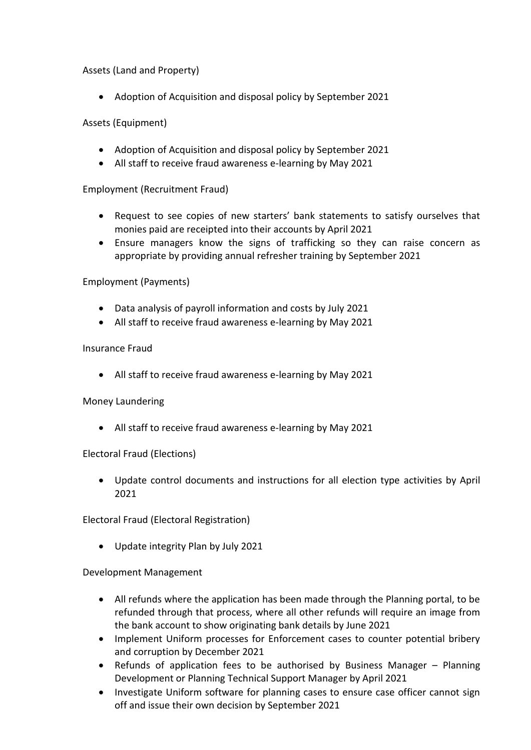## Assets (Land and Property)

• Adoption of Acquisition and disposal policy by September 2021

## Assets (Equipment)

- Adoption of Acquisition and disposal policy by September 2021
- All staff to receive fraud awareness e-learning by May 2021

## Employment (Recruitment Fraud)

- Request to see copies of new starters' bank statements to satisfy ourselves that monies paid are receipted into their accounts by April 2021
- Ensure managers know the signs of trafficking so they can raise concern as appropriate by providing annual refresher training by September 2021

## Employment (Payments)

- Data analysis of payroll information and costs by July 2021
- All staff to receive fraud awareness e-learning by May 2021

## Insurance Fraud

All staff to receive fraud awareness e-learning by May 2021

## Money Laundering

All staff to receive fraud awareness e-learning by May 2021

## Electoral Fraud (Elections)

 Update control documents and instructions for all election type activities by April 2021

Electoral Fraud (Electoral Registration)

Update integrity Plan by July 2021

## Development Management

- All refunds where the application has been made through the Planning portal, to be refunded through that process, where all other refunds will require an image from the bank account to show originating bank details by June 2021
- Implement Uniform processes for Enforcement cases to counter potential bribery and corruption by December 2021
- Refunds of application fees to be authorised by Business Manager Planning Development or Planning Technical Support Manager by April 2021
- Investigate Uniform software for planning cases to ensure case officer cannot sign off and issue their own decision by September 2021